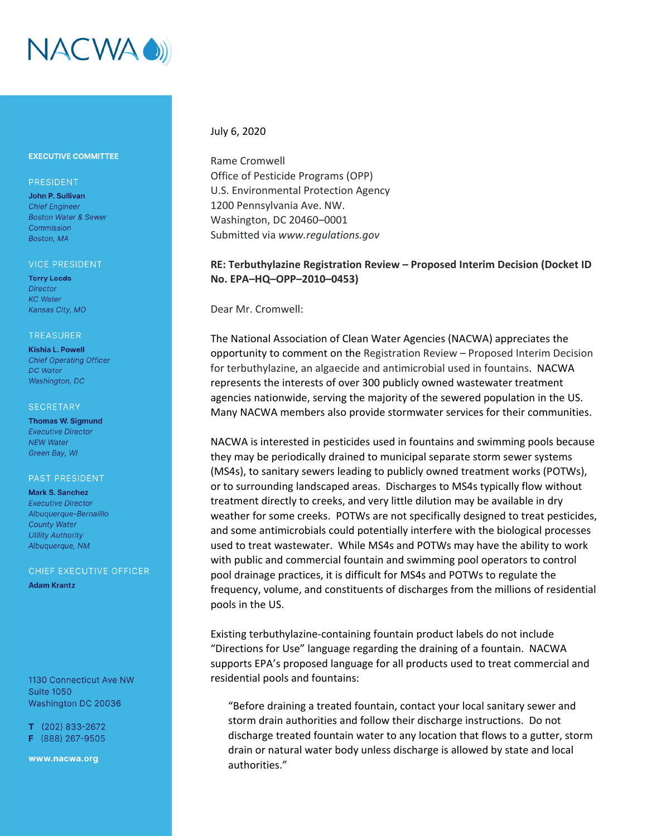

# **EXECUTIVE COMMITTEE**

# PRESIDENT

John P. Sullivan **Chief Engineer Boston Water & Sewer** Commission Boston, MA

#### **VICE PRESIDENT**

**Terry Leeds Director KC** Water Kansas City, MO

#### **TREASURER**

**Kishia L. Powell Chief Operating Officer DC** Water Washington, DC

#### **SECRETARY**

**Thomas W. Sigmund Executive Director NEW Water** Green Bay, WI

### **PAST PRESIDENT**

**Mark S. Sanchez Executive Director** Albuaueraue-Bernalillo **County Water Utility Authority** Albuquerque, NM

# CHIEF EXECUTIVE OFFICER

**Adam Krantz** 

1130 Connecticut Ave NW **Suite 1050** Washington DC 20036

 $T$  (202) 833-2672 F (888) 267-9505

www.nacwa.org

# July 6, 2020

Rame Cromwell Office of Pesticide Programs (OPP) U.S. Environmental Protection Agency 1200 Pennsylvania Ave. NW. Washington, DC 20460–0001 Submitted via *www.regulations.gov*

# **RE: Terbuthylazine Registration Review – Proposed Interim Decision (Docket ID No. EPA–HQ–OPP–2010–0453)**

Dear Mr. Cromwell:

The National Association of Clean Water Agencies (NACWA) appreciates the opportunity to comment on the Registration Review – Proposed Interim Decision for terbuthylazine, an algaecide and antimicrobial used in fountains. NACWA represents the interests of over 300 publicly owned wastewater treatment agencies nationwide, serving the majority of the sewered population in the US. Many NACWA members also provide stormwater services for their communities.

NACWA is interested in pesticides used in fountains and swimming pools because they may be periodically drained to municipal separate storm sewer systems (MS4s), to sanitary sewers leading to publicly owned treatment works (POTWs), or to surrounding landscaped areas. Discharges to MS4s typically flow without treatment directly to creeks, and very little dilution may be available in dry weather for some creeks. POTWs are not specifically designed to treat pesticides, and some antimicrobials could potentially interfere with the biological processes used to treat wastewater. While MS4s and POTWs may have the ability to work with public and commercial fountain and swimming pool operators to control pool drainage practices, it is difficult for MS4s and POTWs to regulate the frequency, volume, and constituents of discharges from the millions of residential pools in the US.

Existing terbuthylazine‐containing fountain product labels do not include "Directions for Use" language regarding the draining of a fountain. NACWA supports EPA's proposed language for all products used to treat commercial and residential pools and fountains:

"Before draining a treated fountain, contact your local sanitary sewer and storm drain authorities and follow their discharge instructions. Do not discharge treated fountain water to any location that flows to a gutter, storm drain or natural water body unless discharge is allowed by state and local authorities."